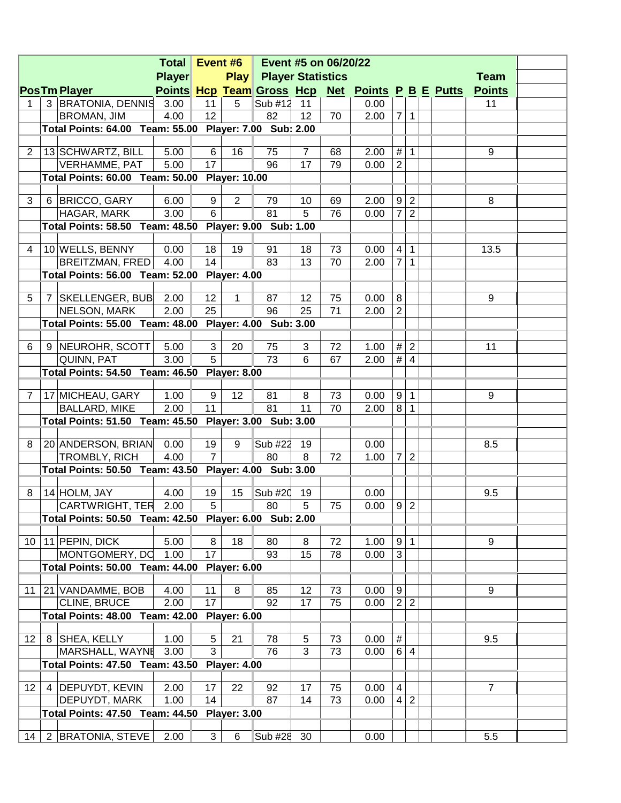| <b>Total Event #6</b><br>Event #5 on 06/20/22 |  |                                                        |               |                 |                     |                          |                |    |                                                  |                  |                  |  |                |  |
|-----------------------------------------------|--|--------------------------------------------------------|---------------|-----------------|---------------------|--------------------------|----------------|----|--------------------------------------------------|------------------|------------------|--|----------------|--|
|                                               |  |                                                        | <b>Player</b> |                 | <b>Play</b>         | <b>Player Statistics</b> |                |    |                                                  |                  |                  |  | <b>Team</b>    |  |
|                                               |  | <b>PosTm Player</b>                                    |               |                 |                     |                          |                |    | Points Hcp Team Gross Hcp Net Points P B E Putts |                  |                  |  | <b>Points</b>  |  |
| 1                                             |  | 3 BRATONIA, DENNIS                                     | 3.00          | 11              | 5                   | Sub #12                  | 11             |    | 0.00                                             |                  |                  |  | 11             |  |
|                                               |  | BROMAN, JIM                                            | 4.00          | 12 <sub>2</sub> |                     | 82                       | 12             | 70 | 2.00                                             |                  | 7 1              |  |                |  |
|                                               |  | Total Points: 64.00 Team: 55.00 Player: 7.00 Sub: 2.00 |               |                 |                     |                          |                |    |                                                  |                  |                  |  |                |  |
|                                               |  |                                                        |               |                 |                     |                          |                |    |                                                  |                  |                  |  |                |  |
| 2                                             |  | 13 SCHWARTZ, BILL                                      | 5.00          | 6               | 16                  | 75                       | $\overline{7}$ | 68 | 2.00                                             |                  | $\#$   1         |  | 9              |  |
|                                               |  | <b>VERHAMME, PAT</b>                                   | 5.00          | 17              |                     | 96                       | 17             | 79 | 0.00                                             | $\overline{2}$   |                  |  |                |  |
|                                               |  | Total Points: 60.00 Team: 50.00 Player: 10.00          |               |                 |                     |                          |                |    |                                                  |                  |                  |  |                |  |
|                                               |  |                                                        |               |                 |                     |                          |                |    |                                                  |                  |                  |  |                |  |
| 3                                             |  | 6 BRICCO, GARY                                         | 6.00          | 9               | 2                   | 79                       | 10             | 69 | 2.00                                             |                  | $9 \mid 2$       |  | 8              |  |
|                                               |  | HAGAR, MARK                                            | 3.00          | 6               |                     | 81                       | $\overline{5}$ | 76 | 0.00                                             |                  | 7 2              |  |                |  |
|                                               |  | Total Points: 58.50 Team: 48.50 Player: 9.00 Sub: 1.00 |               |                 |                     |                          |                |    |                                                  |                  |                  |  |                |  |
|                                               |  |                                                        |               |                 |                     |                          |                |    |                                                  |                  |                  |  |                |  |
| 4                                             |  | 10 WELLS, BENNY                                        | 0.00          | 18              | 19                  | 91                       | 18             | 73 | 0.00                                             |                  | 4 1              |  | 13.5           |  |
|                                               |  | <b>BREITZMAN, FRED</b>                                 | 4.00          | 14              |                     | 83                       | 13             | 70 | 2.00                                             |                  | 7 1              |  |                |  |
|                                               |  | Total Points: 56.00 Team: 52.00 Player: 4.00           |               |                 |                     |                          |                |    |                                                  |                  |                  |  |                |  |
|                                               |  |                                                        |               |                 |                     |                          |                |    |                                                  |                  |                  |  |                |  |
| 5                                             |  | 7   SKELLENGER, BUB                                    | 2.00          | 12 <sub>2</sub> | $\mathbf{1}$        | 87                       | 12             | 75 | 0.00                                             | $\,8\,$          |                  |  | 9              |  |
|                                               |  | NELSON, MARK                                           | 2.00          | 25              |                     | 96                       | 25             | 71 | 2.00                                             | $\overline{2}$   |                  |  |                |  |
|                                               |  | Total Points: 55.00 Team: 48.00 Player: 4.00 Sub: 3.00 |               |                 |                     |                          |                |    |                                                  |                  |                  |  |                |  |
|                                               |  |                                                        |               |                 |                     |                          |                |    |                                                  |                  |                  |  |                |  |
| 6                                             |  | 9 NEUROHR, SCOTT                                       | 5.00          | 3               | 20                  | 75                       | 3              | 72 | 1.00                                             |                  | # 2              |  | 11             |  |
|                                               |  | QUINN, PAT                                             | 3.00          | $\overline{5}$  |                     | 73                       | 6              | 67 | 2.00                                             |                  | # 4              |  |                |  |
|                                               |  | Total Points: 54.50 Team: 46.50 Player: 8.00           |               |                 |                     |                          |                |    |                                                  |                  |                  |  |                |  |
| $\overline{7}$                                |  |                                                        | 1.00          | 9               | 12                  | 81                       | 8              | 73 | 0.00                                             |                  | 9 1              |  | 9              |  |
|                                               |  | 17 MICHEAU, GARY                                       | 2.00          | 11              |                     | 81                       | 11             | 70 | 2.00                                             |                  | 8 1              |  |                |  |
|                                               |  | <b>BALLARD, MIKE</b>                                   |               |                 |                     |                          |                |    |                                                  |                  |                  |  |                |  |
|                                               |  | Total Points: 51.50 Team: 45.50 Player: 3.00 Sub: 3.00 |               |                 |                     |                          |                |    |                                                  |                  |                  |  |                |  |
| 8                                             |  | 20 ANDERSON, BRIAN                                     | 0.00          | 19              | 9                   | Sub #22                  | 19             |    | 0.00                                             |                  |                  |  | 8.5            |  |
|                                               |  | TROMBLY, RICH                                          | 4.00          | $\overline{7}$  |                     | 80                       | 8              | 72 | 1.00                                             | $\overline{7}$   | $\overline{2}$   |  |                |  |
|                                               |  | Total Points: 50.50 Team: 43.50 Player: 4.00 Sub: 3.00 |               |                 |                     |                          |                |    |                                                  |                  |                  |  |                |  |
|                                               |  |                                                        |               |                 |                     |                          |                |    |                                                  |                  |                  |  |                |  |
| 8                                             |  | 14 HOLM, JAY                                           | 4.00          | 19              | 15                  | $Sub$ #20                | 19             |    | 0.00                                             |                  |                  |  | 9.5            |  |
|                                               |  | CARTWRIGHT, TER 2.00                                   |               | $\overline{5}$  |                     | 80                       | $\overline{5}$ | 75 | $0.00$ 9 2                                       |                  |                  |  |                |  |
|                                               |  | Total Points: 50.50 Team: 42.50 Player: 6.00 Sub: 2.00 |               |                 |                     |                          |                |    |                                                  |                  |                  |  |                |  |
|                                               |  |                                                        |               |                 |                     |                          |                |    |                                                  |                  |                  |  |                |  |
|                                               |  | 10   11   PEPIN, DICK                                  | 5.00          | 8               | 18                  | 80                       | 8              | 72 | 1.00                                             |                  | 9 1              |  | 9              |  |
|                                               |  | MONTGOMERY, DC                                         | 1.00          | 17              |                     | 93                       | 15             | 78 | 0.00                                             | $\overline{3}$   |                  |  |                |  |
|                                               |  | Total Points: 50.00 Team: 44.00 Player: 6.00           |               |                 |                     |                          |                |    |                                                  |                  |                  |  |                |  |
|                                               |  |                                                        |               |                 |                     |                          |                |    |                                                  |                  |                  |  |                |  |
| 11                                            |  | 21 VANDAMME, BOB                                       | 4.00          | 11              | 8                   | 85                       | 12             | 73 | 0.00                                             | $\boldsymbol{9}$ |                  |  | 9              |  |
|                                               |  | CLINE, BRUCE                                           | 2.00          | 17              |                     | 92                       | 17             | 75 | 0.00                                             |                  | $\overline{2}$ 2 |  |                |  |
|                                               |  | Total Points: 48.00 Team: 42.00 Player: 6.00           |               |                 |                     |                          |                |    |                                                  |                  |                  |  |                |  |
|                                               |  |                                                        |               |                 |                     |                          |                |    |                                                  |                  |                  |  |                |  |
| 12 <sup>2</sup>                               |  | 8   SHEA, KELLY                                        | 1.00          | 5               | 21                  | 78                       | 5              | 73 | 0.00                                             | $\overline{\#}$  |                  |  | 9.5            |  |
|                                               |  | MARSHALL, WAYNE                                        | 3.00          | $\overline{3}$  |                     | 76                       | 3              | 73 | 0.00                                             |                  | $\overline{6}$ 4 |  |                |  |
|                                               |  | <b>Total Points: 47.50 Team: 43.50</b>                 |               |                 | <b>Player: 4.00</b> |                          |                |    |                                                  |                  |                  |  |                |  |
|                                               |  |                                                        |               |                 |                     |                          |                |    |                                                  |                  |                  |  |                |  |
| 12 <sup>2</sup>                               |  | 4 DEPUYDT, KEVIN                                       | 2.00          | 17              | 22                  | 92                       | 17             | 75 | 0.00                                             | $\overline{4}$   |                  |  | $\overline{7}$ |  |
|                                               |  | DEPUYDT, MARK                                          | 1.00          | 14              |                     | 87                       | 14             | 73 | 0.00                                             |                  | $4\overline{2}$  |  |                |  |
|                                               |  | Total Points: 47.50 Team: 44.50 Player: 3.00           |               |                 |                     |                          |                |    |                                                  |                  |                  |  |                |  |
|                                               |  |                                                        |               |                 |                     |                          |                |    |                                                  |                  |                  |  |                |  |
| 14                                            |  | 2 BRATONIA, STEVE                                      | 2.00          | 3               | $\,6$               | Sub #28                  | 30             |    | 0.00                                             |                  |                  |  | 5.5            |  |
|                                               |  |                                                        |               |                 |                     |                          |                |    |                                                  |                  |                  |  |                |  |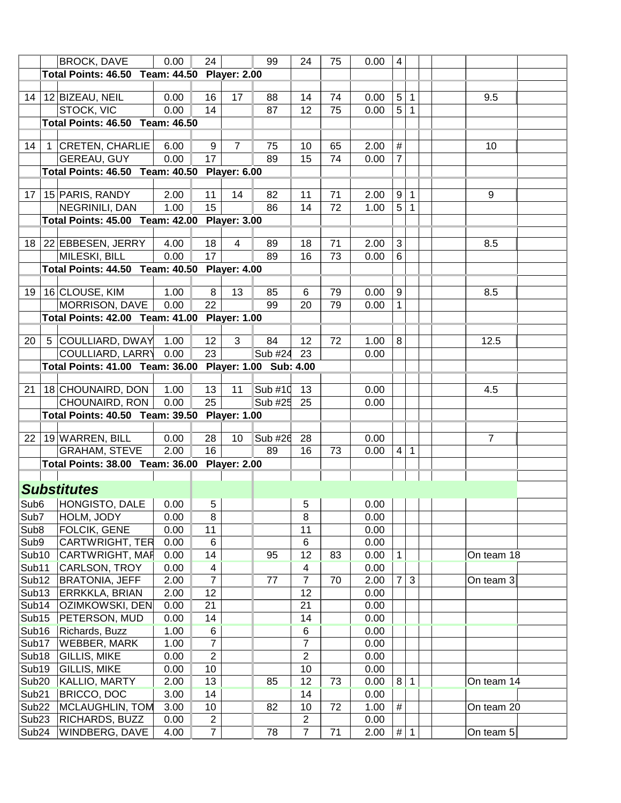|                            | <b>BROCK, DAVE</b>                                     | 0.00 | 24               |                | 99                 | 24             | 75 | 0.00 | $\overline{4}$   |                |                |
|----------------------------|--------------------------------------------------------|------|------------------|----------------|--------------------|----------------|----|------|------------------|----------------|----------------|
|                            | Total Points: 46.50 Team: 44.50 Player: 2.00           |      |                  |                |                    |                |    |      |                  |                |                |
|                            |                                                        |      |                  |                |                    |                |    |      |                  |                |                |
|                            | 14   12   BIZEAU, NEIL                                 | 0.00 | 16               | 17             | 88                 | 14             | 74 | 0.00 | $5\phantom{.0}$  | $\mathbf{1}$   | 9.5            |
|                            | <b>STOCK, VIC</b>                                      | 0.00 | 14               |                | 87                 | 12             | 75 | 0.00 | $\overline{5}$   | $\mathbf{1}$   |                |
|                            | <b>Total Points: 46.50 Team: 46.50</b>                 |      |                  |                |                    |                |    |      |                  |                |                |
|                            |                                                        |      |                  |                |                    |                |    |      |                  |                |                |
| 14                         | 1 CRETEN, CHARLIE                                      | 6.00 | 9                | $\overline{7}$ | 75                 | 10             | 65 | 2.00 | $\#$             |                | 10             |
|                            | GEREAU, GUY                                            | 0.00 | 17 <sup>17</sup> |                | 89                 | 15             | 74 | 0.00 | $\overline{7}$   |                |                |
|                            | Total Points: 46.50 Team: 40.50 Player: 6.00           |      |                  |                |                    |                |    |      |                  |                |                |
|                            |                                                        |      |                  |                |                    |                |    |      |                  |                |                |
|                            | 17   15   PARIS, RANDY                                 | 2.00 | 11               | 14             | 82                 | 11             | 71 | 2.00 | $\mathsf g$      | $\mathbf{1}$   | 9              |
|                            | NEGRINILI, DAN                                         | 1.00 | 15               |                | 86                 | 14             | 72 | 1.00 | $\overline{5}$   | $\mathbf{1}$   |                |
|                            | Total Points: 45.00 Team: 42.00 Player: 3.00           |      |                  |                |                    |                |    |      |                  |                |                |
|                            |                                                        |      |                  |                |                    |                |    |      |                  |                |                |
|                            | 18 22 EBBESEN, JERRY                                   | 4.00 | 18               | $\overline{4}$ | 89                 | 18             | 71 | 2.00 | 3                |                | 8.5            |
|                            | MILESKI, BILL                                          | 0.00 | 17 <sup>17</sup> |                | 89                 | 16             | 73 | 0.00 | $6\phantom{1}$   |                |                |
|                            | Total Points: 44.50 Team: 40.50 Player: 4.00           |      |                  |                |                    |                |    |      |                  |                |                |
|                            |                                                        |      |                  |                |                    |                |    |      |                  |                |                |
|                            | 19   16   CLOUSE, KIM                                  | 1.00 | 8                | 13             | 85                 | 6              | 79 | 0.00 | $\boldsymbol{9}$ |                | 8.5            |
|                            | MORRISON, DAVE                                         | 0.00 | 22               |                | 99                 | 20             | 79 | 0.00 | $\mathbf{1}$     |                |                |
|                            | Total Points: 42.00 Team: 41.00 Player: 1.00           |      |                  |                |                    |                |    |      |                  |                |                |
|                            |                                                        |      |                  |                |                    |                |    |      |                  |                |                |
| 20                         | 5 COULLIARD, DWAY                                      | 1.00 | 12 <sup>°</sup>  | 3              | 84                 | 12             | 72 | 1.00 | 8                |                | 12.5           |
|                            | COULLIARD, LARRY                                       | 0.00 | 23               |                | Sub #24            | 23             |    | 0.00 |                  |                |                |
|                            | Total Points: 41.00 Team: 36.00 Player: 1.00 Sub: 4.00 |      |                  |                |                    |                |    |      |                  |                |                |
|                            |                                                        |      |                  |                |                    |                |    |      |                  |                |                |
| 21                         | 18 CHOUNAIRD, DON                                      | 1.00 | 13 <sup>1</sup>  | 11             | $\textsf{Sub}$ #10 | 13             |    | 0.00 |                  |                | 4.5            |
|                            | CHOUNAIRD, RON                                         | 0.00 | 25               |                | Sub #25            | 25             |    | 0.00 |                  |                |                |
|                            | Total Points: 40.50 Team: 39.50 Player: 1.00           |      |                  |                |                    |                |    |      |                  |                |                |
|                            |                                                        |      |                  |                |                    |                |    |      |                  |                | $\overline{7}$ |
|                            | 22 19 WARREN, BILL                                     | 0.00 | 28<br>16         | 10             | $Sub$ #26          | 28             |    | 0.00 |                  |                |                |
|                            | <b>GRAHAM, STEVE</b>                                   | 2.00 |                  |                | 89                 | 16             | 73 | 0.00 | $\overline{4}$   | $\overline{1}$ |                |
|                            | Total Points: 38.00 Team: 36.00 Player: 2.00           |      |                  |                |                    |                |    |      |                  |                |                |
|                            |                                                        |      |                  |                |                    |                |    |      |                  |                |                |
|                            | <b>Substitutes</b>                                     |      |                  |                |                    |                |    |      |                  |                |                |
|                            | Sub6 HONGISTO, DALE                                    | 0.00 | 5 <sup>1</sup>   |                |                    | $\overline{5}$ |    | 0.00 |                  |                |                |
| $\overline{\textsf{Sub7}}$ | HOLM, JODY                                             | 0.00 | 8                |                |                    | 8              |    | 0.00 |                  |                |                |
| Sub <sub>8</sub>           | FOLCIK, GENE                                           | 0.00 | 11               |                |                    | 11             |    | 0.00 |                  |                |                |
| Sub9                       | <b>CARTWRIGHT, TER</b>                                 | 0.00 | 6                |                |                    | $\,6\,$        |    | 0.00 |                  |                |                |
| Sub10                      | CARTWRIGHT, MAF                                        | 0.00 | 14               |                | 95                 | 12             | 83 | 0.00 | $\mathbf 1$      |                | On team 18     |
| Sub11                      | CARLSON, TROY                                          | 0.00 | 4                |                |                    | 4              |    | 0.00 |                  |                |                |
| Sub <sub>12</sub>          | <b>BRATONIA, JEFF</b>                                  | 2.00 | $\overline{7}$   |                | 77                 | $\overline{7}$ | 70 | 2.00 | $\overline{7}$   | $\mathfrak{B}$ | On team 3      |
| Sub <sub>13</sub>          | ERRKKLA, BRIAN                                         | 2.00 | 12               |                |                    | 12             |    | 0.00 |                  |                |                |
| Sub14                      | OZIMKOWSKI, DEN                                        | 0.00 | 21               |                |                    | 21             |    | 0.00 |                  |                |                |
| Sub <sub>15</sub>          | PETERSON, MUD                                          | 0.00 | 14               |                |                    | 14             |    | 0.00 |                  |                |                |
| Sub <sub>16</sub>          | Richards, Buzz                                         | 1.00 | 6                |                |                    | 6              |    | 0.00 |                  |                |                |
| Sub17                      | <b>WEBBER, MARK</b>                                    | 1.00 | 7                |                |                    | $\overline{7}$ |    | 0.00 |                  |                |                |
| Sub <sub>18</sub>          | <b>GILLIS, MIKE</b>                                    | 0.00 | $\overline{2}$   |                |                    | $\overline{2}$ |    | 0.00 |                  |                |                |
| Sub19                      | <b>GILLIS, MIKE</b>                                    | 0.00 | 10               |                |                    | 10             |    | 0.00 |                  |                |                |
| Sub <sub>20</sub>          | KALLIO, MARTY                                          | 2.00 | 13               |                | 85                 | 12             | 73 | 0.00 |                  | $8 \mid 1$     | On team 14     |
| Sub <sub>21</sub>          | <b>BRICCO, DOC</b>                                     | 3.00 | 14               |                |                    | 14             |    | 0.00 |                  |                |                |
| Sub <sub>22</sub>          | MCLAUGHLIN, TOM                                        | 3.00 | 10 <sup>°</sup>  |                | 82                 | 10             | 72 | 1.00 | $\#$             |                | On team 20     |
| Sub <sub>23</sub>          | RICHARDS, BUZZ                                         | 0.00 | $\overline{2}$   |                |                    | $\overline{2}$ |    | 0.00 |                  |                |                |
| Sub <sub>24</sub>          | <b>WINDBERG, DAVE</b>                                  | 4.00 | $\overline{7}$   |                | 78                 | $\overline{7}$ | 71 | 2.00 | $\#$             | $\overline{1}$ | On team 5      |
|                            |                                                        |      |                  |                |                    |                |    |      |                  |                |                |